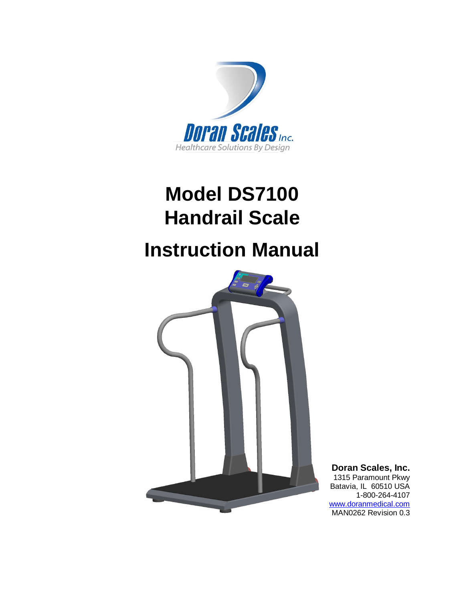

# **Model DS7100 Handrail Scale**

# **Instruction Manual**



**Doran Scales, Inc.** 1315 Paramount Pkwy Batavia, IL 60510 USA 1-800-264-4107

[www.doranmedical.com](http://www.doranmedical.com) MAN0262 Revision 0.3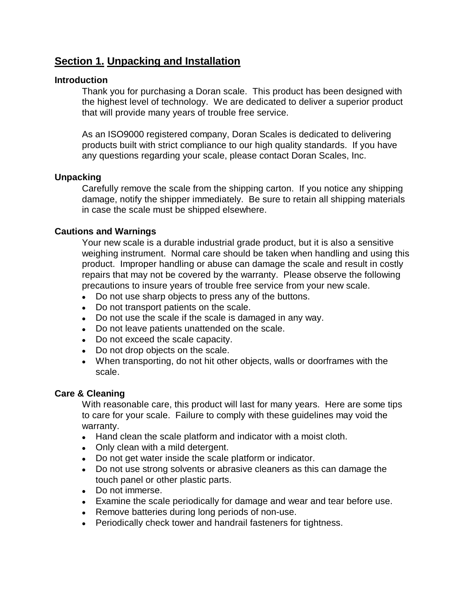## **Section 1. Unpacking and Installation**

#### **Introduction**

Thank you for purchasing a Doran scale. This product has been designed with the highest level of technology. We are dedicated to deliver a superior product that will provide many years of trouble free service.

As an ISO9000 registered company, Doran Scales is dedicated to delivering products built with strict compliance to our high quality standards. If you have any questions regarding your scale, please contact Doran Scales, Inc.

#### **Unpacking**

Carefully remove the scale from the shipping carton. If you notice any shipping damage, notify the shipper immediately. Be sure to retain all shipping materials in case the scale must be shipped elsewhere.

#### **Cautions and Warnings**

Your new scale is a durable industrial grade product, but it is also a sensitive weighing instrument. Normal care should be taken when handling and using this product. Improper handling or abuse can damage the scale and result in costly repairs that may not be covered by the warranty. Please observe the following precautions to insure years of trouble free service from your new scale.

- Do not use sharp objects to press any of the buttons.
- Do not transport patients on the scale.
- Do not use the scale if the scale is damaged in any way.
- Do not leave patients unattended on the scale.
- Do not exceed the scale capacity.
- Do not drop objects on the scale.
- When transporting, do not hit other objects, walls or doorframes with the scale.

#### **Care & Cleaning**

With reasonable care, this product will last for many years. Here are some tips to care for your scale. Failure to comply with these guidelines may void the warranty.

- Hand clean the scale platform and indicator with a moist cloth.
- Only clean with a mild detergent.
- Do not get water inside the scale platform or indicator.
- Do not use strong solvents or abrasive cleaners as this can damage the touch panel or other plastic parts.
- Do not immerse.
- Examine the scale periodically for damage and wear and tear before use.
- Remove batteries during long periods of non-use.
- Periodically check tower and handrail fasteners for tightness.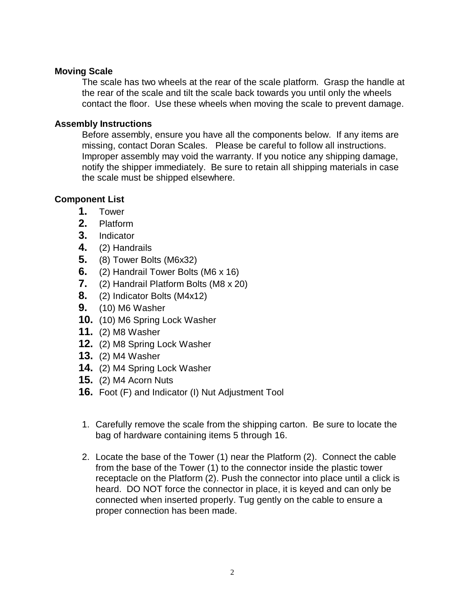#### **Moving Scale**

The scale has two wheels at the rear of the scale platform. Grasp the handle at the rear of the scale and tilt the scale back towards you until only the wheels contact the floor. Use these wheels when moving the scale to prevent damage.

#### **Assembly Instructions**

Before assembly, ensure you have all the components below. If any items are missing, contact Doran Scales. Please be careful to follow all instructions. Improper assembly may void the warranty. If you notice any shipping damage, notify the shipper immediately. Be sure to retain all shipping materials in case the scale must be shipped elsewhere.

#### **Component List**

- **1.** Tower
- **2.** Platform
- **3.** Indicator
- **4.** (2) Handrails
- **5.** (8) Tower Bolts (M6x32)
- **6.** (2) Handrail Tower Bolts (M6 x 16)
- **7.** (2) Handrail Platform Bolts (M8 x 20)
- **8.** (2) Indicator Bolts (M4x12)
- **9.** (10) M6 Washer
- **10.** (10) M6 Spring Lock Washer
- **11.** (2) M8 Washer
- **12.** (2) M8 Spring Lock Washer
- **13.** (2) M4 Washer
- **14.** (2) M4 Spring Lock Washer
- **15.** (2) M4 Acorn Nuts
- **16.** Foot (F) and Indicator (I) Nut Adjustment Tool
- 1. Carefully remove the scale from the shipping carton. Be sure to locate the bag of hardware containing items 5 through 16.
- 2. Locate the base of the Tower (1) near the Platform (2). Connect the cable from the base of the Tower (1) to the connector inside the plastic tower receptacle on the Platform (2). Push the connector into place until a click is heard. DO NOT force the connector in place, it is keyed and can only be connected when inserted properly. Tug gently on the cable to ensure a proper connection has been made.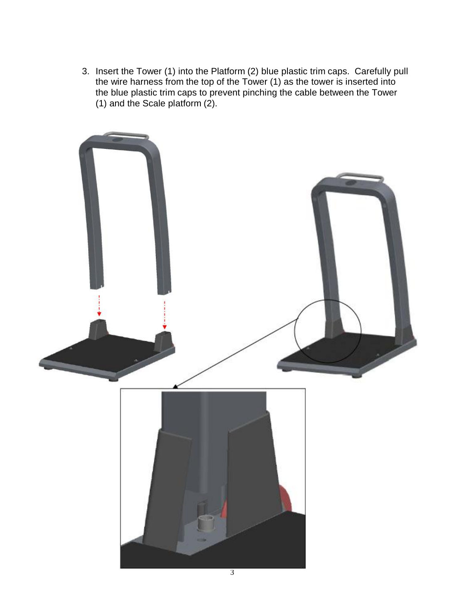3. Insert the Tower (1) into the Platform (2) blue plastic trim caps. Carefully pull the wire harness from the top of the Tower (1) as the tower is inserted into the blue plastic trim caps to prevent pinching the cable between the Tower (1) and the Scale platform (2).

![](_page_6_Picture_1.jpeg)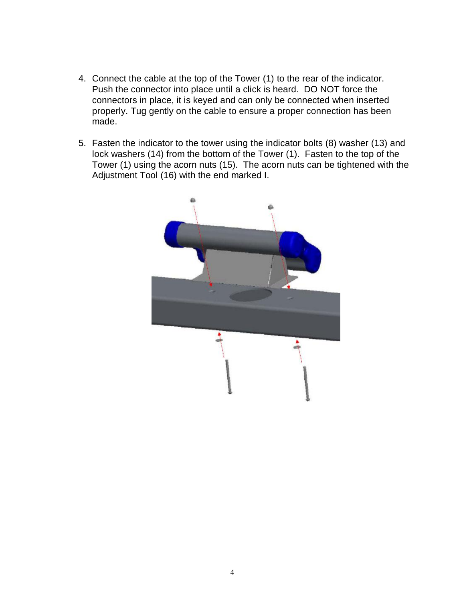- 4. Connect the cable at the top of the Tower (1) to the rear of the indicator. Push the connector into place until a click is heard. DO NOT force the connectors in place, it is keyed and can only be connected when inserted properly. Tug gently on the cable to ensure a proper connection has been made.
- 5. Fasten the indicator to the tower using the indicator bolts (8) washer (13) and lock washers (14) from the bottom of the Tower (1). Fasten to the top of the Tower (1) using the acorn nuts (15). The acorn nuts can be tightened with the Adjustment Tool (16) with the end marked I.

![](_page_7_Picture_2.jpeg)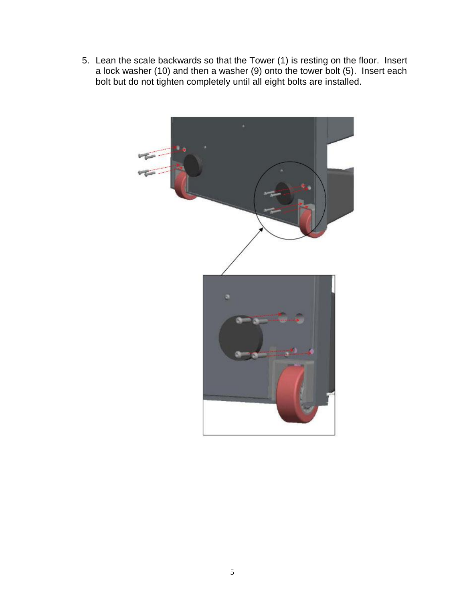5. Lean the scale backwards so that the Tower (1) is resting on the floor. Insert a lock washer (10) and then a washer (9) onto the tower bolt (5). Insert each bolt but do not tighten completely until all eight bolts are installed.

![](_page_8_Picture_1.jpeg)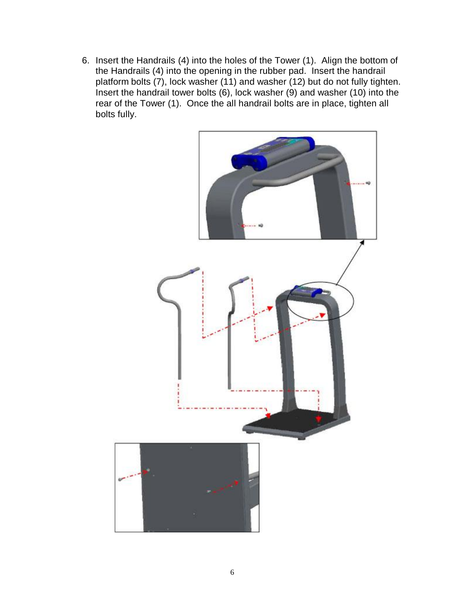6. Insert the Handrails (4) into the holes of the Tower (1). Align the bottom of the Handrails (4) into the opening in the rubber pad. Insert the handrail platform bolts (7), lock washer (11) and washer (12) but do not fully tighten. Insert the handrail tower bolts (6), lock washer (9) and washer (10) into the rear of the Tower (1). Once the all handrail bolts are in place, tighten all bolts fully.

![](_page_9_Picture_1.jpeg)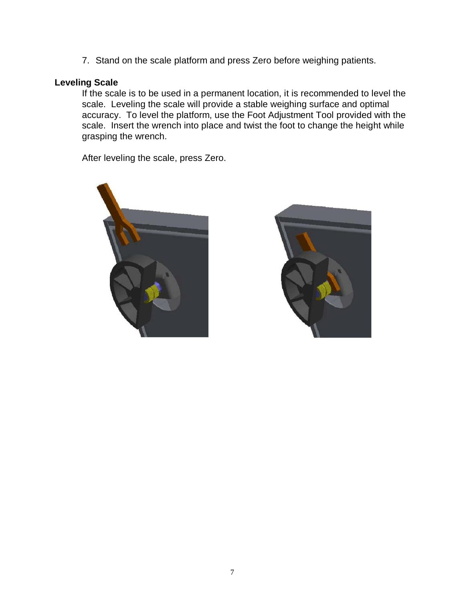7. Stand on the scale platform and press Zero before weighing patients.

#### **Leveling Scale**

If the scale is to be used in a permanent location, it is recommended to level the scale. Leveling the scale will provide a stable weighing surface and optimal accuracy. To level the platform, use the Foot Adjustment Tool provided with the scale. Insert the wrench into place and twist the foot to change the height while grasping the wrench.

After leveling the scale, press Zero.

![](_page_10_Picture_4.jpeg)

![](_page_10_Picture_5.jpeg)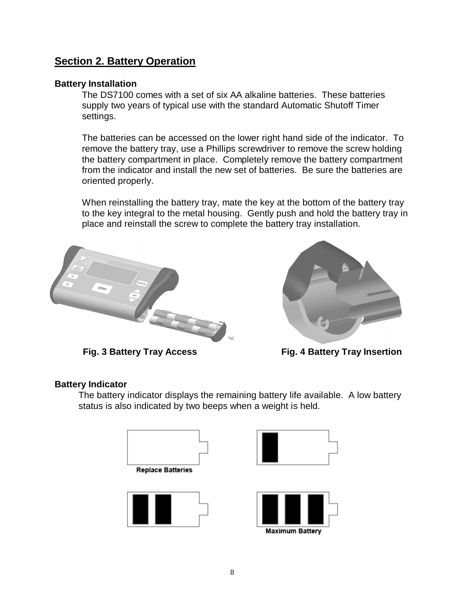## **Section 2. Battery Operation**

#### **Battery Installation**

The DS7100 comes with a set of six AA alkaline batteries. These batteries supply two years of typical use with the standard Automatic Shutoff Timer settings.

The batteries can be accessed on the lower right hand side of the indicator. To remove the battery tray, use a Phillips screwdriver to remove the screw holding the battery compartment in place. Completely remove the battery compartment from the indicator and install the new set of batteries. Be sure the batteries are oriented properly.

When reinstalling the battery tray, mate the key at the bottom of the battery tray to the key integral to the metal housing. Gently push and hold the battery tray in place and reinstall the screw to complete the battery tray installation.

![](_page_11_Picture_5.jpeg)

![](_page_11_Picture_7.jpeg)

**Fig. 3 Battery Tray Access Fig. 4 Battery Tray Insertion**

#### **Battery Indicator**

The battery indicator displays the remaining battery life available. A low battery status is also indicated by two beeps when a weight is held.

| <b>Replace Batteries</b> |  |
|--------------------------|--|

![](_page_11_Picture_12.jpeg)

![](_page_11_Figure_13.jpeg)

![](_page_11_Picture_14.jpeg)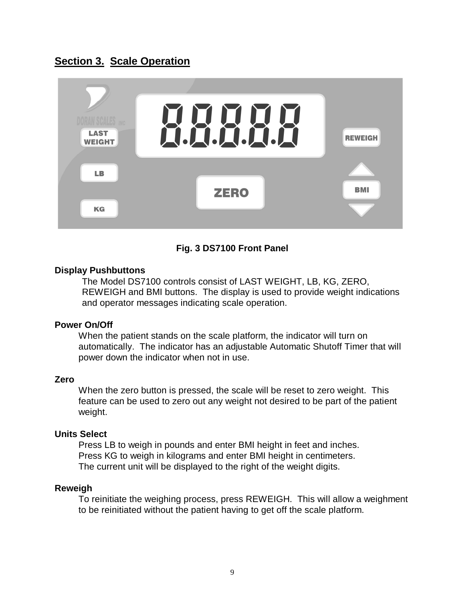## **Section 3. Scale Operation**

![](_page_12_Figure_1.jpeg)

#### **Fig. 3 DS7100 Front Panel**

#### **Display Pushbuttons**

The Model DS7100 controls consist of LAST WEIGHT, LB, KG, ZERO, REWEIGH and BMI buttons. The display is used to provide weight indications and operator messages indicating scale operation.

#### **Power On/Off**

When the patient stands on the scale platform, the indicator will turn on automatically. The indicator has an adjustable Automatic Shutoff Timer that will power down the indicator when not in use.

#### **Zero**

When the zero button is pressed, the scale will be reset to zero weight. This feature can be used to zero out any weight not desired to be part of the patient weight.

#### **Units Select**

Press LB to weigh in pounds and enter BMI height in feet and inches. Press KG to weigh in kilograms and enter BMI height in centimeters. The current unit will be displayed to the right of the weight digits.

#### **Reweigh**

To reinitiate the weighing process, press REWEIGH. This will allow a weighment to be reinitiated without the patient having to get off the scale platform.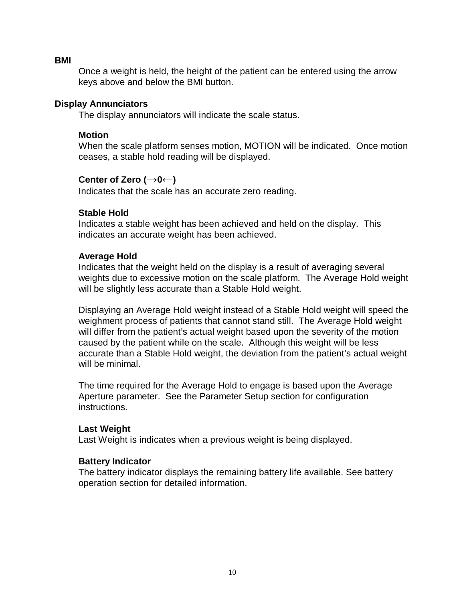#### **BMI**

Once a weight is held, the height of the patient can be entered using the arrow keys above and below the BMI button.

#### **Display Annunciators**

The display annunciators will indicate the scale status.

#### **Motion**

When the scale platform senses motion, MOTION will be indicated. Once motion ceases, a stable hold reading will be displayed.

#### **Center of Zero (→0←)**

Indicates that the scale has an accurate zero reading.

#### **Stable Hold**

Indicates a stable weight has been achieved and held on the display. This indicates an accurate weight has been achieved.

#### **Average Hold**

Indicates that the weight held on the display is a result of averaging several weights due to excessive motion on the scale platform. The Average Hold weight will be slightly less accurate than a Stable Hold weight.

Displaying an Average Hold weight instead of a Stable Hold weight will speed the weighment process of patients that cannot stand still. The Average Hold weight will differ from the patient's actual weight based upon the severity of the motion caused by the patient while on the scale. Although this weight will be less accurate than a Stable Hold weight, the deviation from the patient's actual weight will be minimal.

The time required for the Average Hold to engage is based upon the Average Aperture parameter. See the Parameter Setup section for configuration instructions.

#### **Last Weight**

Last Weight is indicates when a previous weight is being displayed.

#### **Battery Indicator**

The battery indicator displays the remaining battery life available. See battery operation section for detailed information.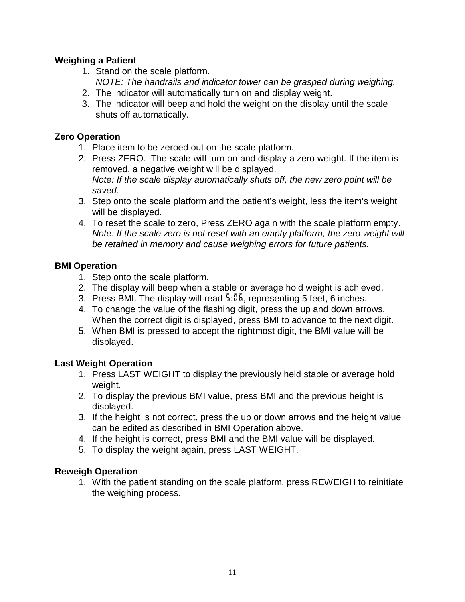#### **Weighing a Patient**

- 1. Stand on the scale platform. *NOTE: The handrails and indicator tower can be grasped during weighing.*
- 2. The indicator will automatically turn on and display weight.
- 3. The indicator will beep and hold the weight on the display until the scale shuts off automatically.

#### **Zero Operation**

- 1. Place item to be zeroed out on the scale platform.
- 2. Press ZERO. The scale will turn on and display a zero weight. If the item is removed, a negative weight will be displayed. *Note: If the scale display automatically shuts off, the new zero point will be saved.*
- 3. Step onto the scale platform and the patient's weight, less the item's weight will be displayed.
- 4. To reset the scale to zero, Press ZERO again with the scale platform empty. *Note: If the scale zero is not reset with an empty platform, the zero weight will be retained in memory and cause weighing errors for future patients.*

#### **BMI Operation**

- 1. Step onto the scale platform.
- 2. The display will beep when a stable or average hold weight is achieved.
- 3. Press BMI. The display will read *5*:*06*, representing 5 feet, 6 inches.
- 4. To change the value of the flashing digit, press the up and down arrows. When the correct digit is displayed, press BMI to advance to the next digit.
- 5. When BMI is pressed to accept the rightmost digit, the BMI value will be displayed.

#### **Last Weight Operation**

- 1. Press LAST WEIGHT to display the previously held stable or average hold weight.
- 2. To display the previous BMI value, press BMI and the previous height is displayed.
- 3. If the height is not correct, press the up or down arrows and the height value can be edited as described in BMI Operation above.
- 4. If the height is correct, press BMI and the BMI value will be displayed.
- 5. To display the weight again, press LAST WEIGHT.

#### **Reweigh Operation**

1. With the patient standing on the scale platform, press REWEIGH to reinitiate the weighing process.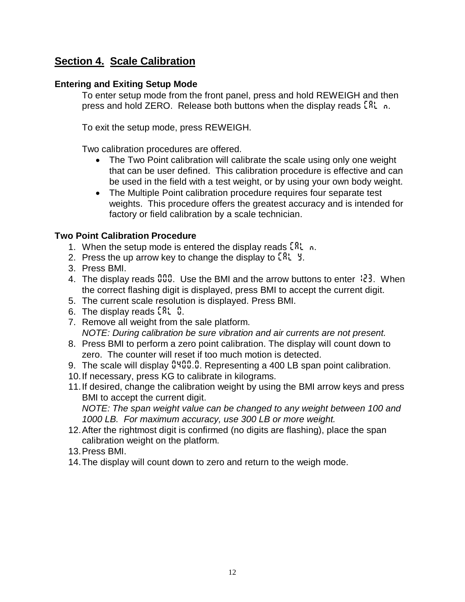## **Section 4. Scale Calibration**

#### **Entering and Exiting Setup Mode**

To enter setup mode from the front panel, press and hold REWEIGH and then press and hold ZERO. Release both buttons when the display reads *CAL n*.

To exit the setup mode, press REWEIGH.

Two calibration procedures are offered.

- The Two Point calibration will calibrate the scale using only one weight that can be user defined. This calibration procedure is effective and can be used in the field with a test weight, or by using your own body weight.
- The Multiple Point calibration procedure requires four separate test weights. This procedure offers the greatest accuracy and is intended for factory or field calibration by a scale technician.

#### **Two Point Calibration Procedure**

- 1. When the setup mode is entered the display reads *CAL n*.
- 2. Press the up arrow key to change the display to *CAL y*.
- 3. Press BMI.
- 4. The display reads *000*. Use the BMI and the arrow buttons to enter *123*. When the correct flashing digit is displayed, press BMI to accept the current digit.
- 5. The current scale resolution is displayed. Press BMI.
- 6. The display reads *CAL 0*.
- 7. Remove all weight from the sale platform. *NOTE: During calibration be sure vibration and air currents are not present.*
- 8. Press BMI to perform a zero point calibration. The display will count down to zero. The counter will reset if too much motion is detected.
- 9. The scale will display <sup>0400</sup>.<sup>0</sup>. Representing a 400 LB span point calibration.
- 10. If necessary, press KG to calibrate in kilograms.
- 11. If desired, change the calibration weight by using the BMI arrow keys and press BMI to accept the current digit. *NOTE: The span weight value can be changed to any weight between 100 and*

*1000 LB. For maximum accuracy, use 300 LB or more weight.*

- 12. After the rightmost digit is confirmed (no digits are flashing), place the span calibration weight on the platform.
- 13. Press BMI.
- 14. The display will count down to zero and return to the weigh mode.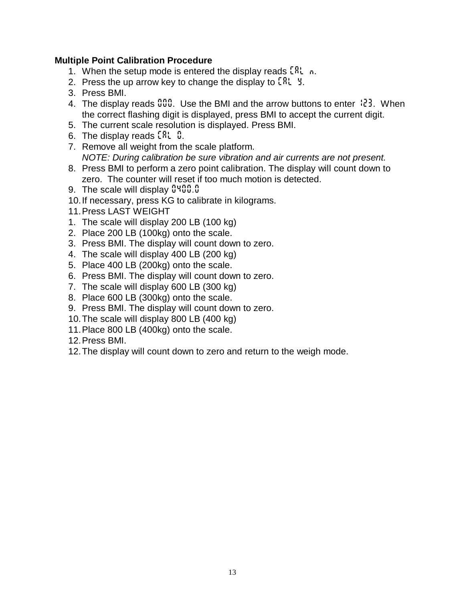#### **Multiple Point Calibration Procedure**

- 1. When the setup mode is entered the display reads *CAL n*.
- 2. Press the up arrow key to change the display to *CAL y*.
- 3. Press BMI.
- 4. The display reads *000*. Use the BMI and the arrow buttons to enter *123*. When the correct flashing digit is displayed, press BMI to accept the current digit.
- 5. The current scale resolution is displayed. Press BMI.
- 6. The display reads *CAL 0*.
- 7. Remove all weight from the scale platform. *NOTE: During calibration be sure vibration and air currents are not present.*
- 8. Press BMI to perform a zero point calibration. The display will count down to zero. The counter will reset if too much motion is detected.
- 9. The scale will display *0400.0*
- 10. If necessary, press KG to calibrate in kilograms.
- 11. Press LAST WEIGHT
- 1. The scale will display 200 LB (100 kg)
- 2. Place 200 LB (100kg) onto the scale.
- 3. Press BMI. The display will count down to zero.
- 4. The scale will display 400 LB (200 kg)
- 5. Place 400 LB (200kg) onto the scale.
- 6. Press BMI. The display will count down to zero.
- 7. The scale will display 600 LB (300 kg)
- 8. Place 600 LB (300kg) onto the scale.
- 9. Press BMI. The display will count down to zero.
- 10. The scale will display 800 LB (400 kg)
- 11. Place 800 LB (400kg) onto the scale.
- 12. Press BMI.
- 12. The display will count down to zero and return to the weigh mode.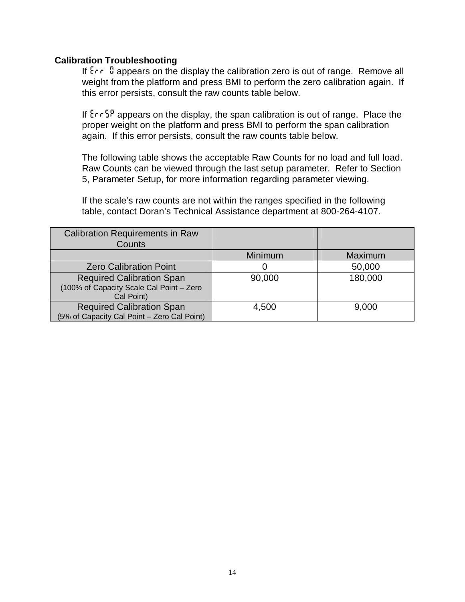#### **Calibration Troubleshooting**

If *Err 0* appears on the display the calibration zero is out of range. Remove all weight from the platform and press BMI to perform the zero calibration again. If this error persists, consult the raw counts table below.

If *ErrSp* appears on the display, the span calibration is out of range. Place the proper weight on the platform and press BMI to perform the span calibration again. If this error persists, consult the raw counts table below.

The following table shows the acceptable Raw Counts for no load and full load. Raw Counts can be viewed through the last setup parameter. Refer to Section 5, Parameter Setup, for more information regarding parameter viewing.

If the scale's raw counts are not within the ranges specified in the following table, contact Doran's Technical Assistance department at 800-264-4107.

| <b>Calibration Requirements in Raw</b><br>Counts                                           |         |         |
|--------------------------------------------------------------------------------------------|---------|---------|
|                                                                                            | Minimum | Maximum |
| <b>Zero Calibration Point</b>                                                              |         | 50,000  |
| <b>Required Calibration Span</b><br>(100% of Capacity Scale Cal Point - Zero<br>Cal Point) | 90,000  | 180,000 |
| <b>Required Calibration Span</b><br>(5% of Capacity Cal Point - Zero Cal Point)            | 4,500   | 9,000   |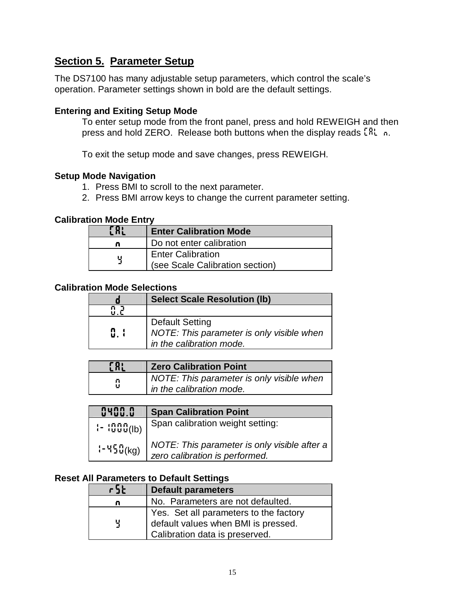## **Section 5. Parameter Setup**

The DS7100 has many adjustable setup parameters, which control the scale's operation. Parameter settings shown in bold are the default settings.

#### **Entering and Exiting Setup Mode**

To enter setup mode from the front panel, press and hold REWEIGH and then press and hold ZERO. Release both buttons when the display reads *CAL n*.

To exit the setup mode and save changes, press REWEIGH.

#### **Setup Mode Navigation**

- 1. Press BMI to scroll to the next parameter.
- 2. Press BMI arrow keys to change the current parameter setting.

#### **Calibration Mode Entry**

| $\mathcal{L}$ and | <b>Enter Calibration Mode</b>   |
|-------------------|---------------------------------|
| o                 | Do not enter calibration        |
| ப                 | <b>Enter Calibration</b>        |
|                   | (see Scale Calibration section) |

#### **Calibration Mode Selections**

|                  | <b>Select Scale Resolution (lb)</b>       |
|------------------|-------------------------------------------|
|                  |                                           |
|                  | Default Setting                           |
| $\mathbf{5}$ . ( | NOTE: This parameter is only visible when |
|                  | in the calibration mode.                  |

| E R: | <b>Zero Calibration Point</b>             |
|------|-------------------------------------------|
| М    | NOTE: This parameter is only visible when |
| u    | in the calibration mode.                  |

| 0400.0                            | <b>Span Calibration Point</b>                                                  |
|-----------------------------------|--------------------------------------------------------------------------------|
| $\left(-\frac{1555}{1000}\right)$ | Span calibration weight setting:                                               |
| $-450$ (kg)                       | NOTE: This parameter is only visible after a<br>zero calibration is performed. |

#### **Reset All Parameters to Default Settings**

| r5t | <b>Default parameters</b>                                                                                       |
|-----|-----------------------------------------------------------------------------------------------------------------|
| n   | No. Parameters are not defaulted.                                                                               |
| 뷕   | Yes. Set all parameters to the factory<br>default values when BMI is pressed.<br>Calibration data is preserved. |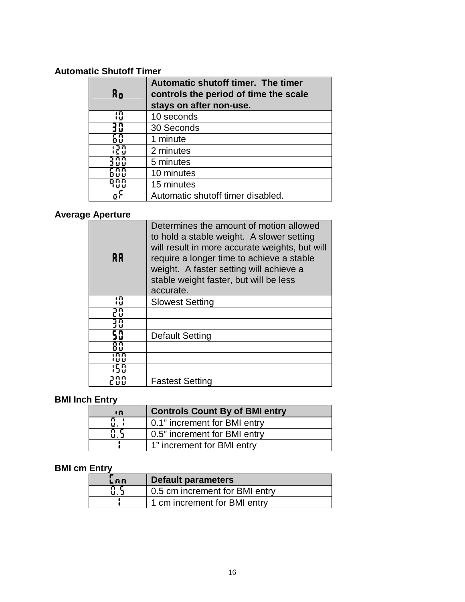## **Automatic Shutoff Timer**

| Яo       | Automatic shutoff timer. The timer<br>controls the period of time the scale<br>stays on after non-use. |
|----------|--------------------------------------------------------------------------------------------------------|
| កោ<br>τū | 10 seconds                                                                                             |
| 30       | 30 Seconds                                                                                             |
|          | 1 minute                                                                                               |
| חדו      | 2 minutes                                                                                              |
|          | 5 minutes                                                                                              |
|          | 10 minutes                                                                                             |
| חוזו     | 15 minutes                                                                                             |
|          | Automatic shutoff timer disabled.                                                                      |

## **Average Aperture**

| 88         | Determines the amount of motion allowed<br>to hold a stable weight. A slower setting<br>will result in more accurate weights, but will<br>require a longer time to achieve a stable<br>weight. A faster setting will achieve a<br>stable weight faster, but will be less<br>accurate. |
|------------|---------------------------------------------------------------------------------------------------------------------------------------------------------------------------------------------------------------------------------------------------------------------------------------|
| កោ<br>យ    | <b>Slowest Setting</b>                                                                                                                                                                                                                                                                |
|            |                                                                                                                                                                                                                                                                                       |
| 1 M<br>ງ ນ |                                                                                                                                                                                                                                                                                       |
| .n<br>10   | <b>Default Setting</b>                                                                                                                                                                                                                                                                |
| пπ         |                                                                                                                                                                                                                                                                                       |
|            |                                                                                                                                                                                                                                                                                       |
|            |                                                                                                                                                                                                                                                                                       |
|            | <b>Fastest Setting</b>                                                                                                                                                                                                                                                                |

## **BMI Inch Entry**

| កោ  | <b>Controls Count By of BMI entry</b> |
|-----|---------------------------------------|
| u.  | 0.1" increment for BMI entry          |
| 8.5 | 0.5" increment for BMI entry          |
|     | 1" increment for BMI entry            |

### **BMI cm Entry**

| LAN | Default parameters             |
|-----|--------------------------------|
|     | 0.5 cm increment for BMI entry |
|     | 1 cm increment for BMI entry   |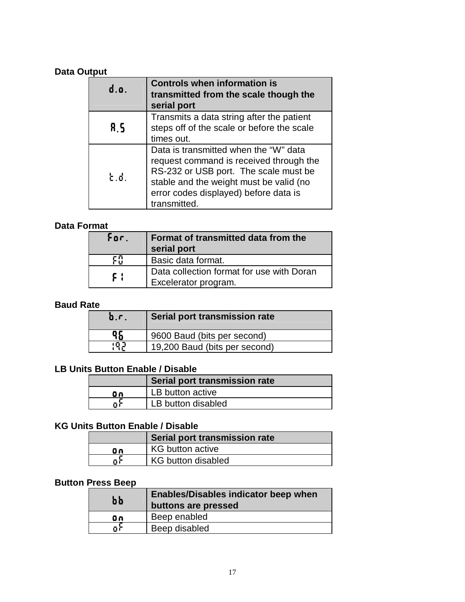### **Data Output**

| d.o. | <b>Controls when information is</b><br>transmitted from the scale though the<br>serial port                                                                                                                                   |  |
|------|-------------------------------------------------------------------------------------------------------------------------------------------------------------------------------------------------------------------------------|--|
| 8.S  | Transmits a data string after the patient<br>steps off of the scale or before the scale<br>times out.                                                                                                                         |  |
| ង ៨  | Data is transmitted when the "W" data<br>request command is received through the<br>RS-232 or USB port. The scale must be<br>stable and the weight must be valid (no<br>error codes displayed) before data is<br>transmitted. |  |

## **Data Format**

| For. | <b>Format of transmitted data from the</b><br>serial port         |
|------|-------------------------------------------------------------------|
| ξM   | Basic data format.                                                |
| F ¦  | Data collection format for use with Doran<br>Excelerator program. |

#### **Baud Rate**

| D.C | Serial port transmission rate |
|-----|-------------------------------|
| 96  | 9600 Baud (bits per second)   |
| 99  | 19,200 Baud (bits per second) |

## **LB Units Button Enable / Disable**

|    | Serial port transmission rate |
|----|-------------------------------|
| Οn | LB button active              |
| Ωì | LB button disabled            |

## **KG Units Button Enable / Disable**

|    | Serial port transmission rate |  |
|----|-------------------------------|--|
| Θn | <b>KG button active</b>       |  |
| Πì | <b>KG button disabled</b>     |  |

## **Button Press Beep**

| <b>bb</b> | <b>Enables/Disables indicator beep when</b><br>buttons are pressed |  |
|-----------|--------------------------------------------------------------------|--|
| Οn        | Beep enabled                                                       |  |
| n h       | Beep disabled                                                      |  |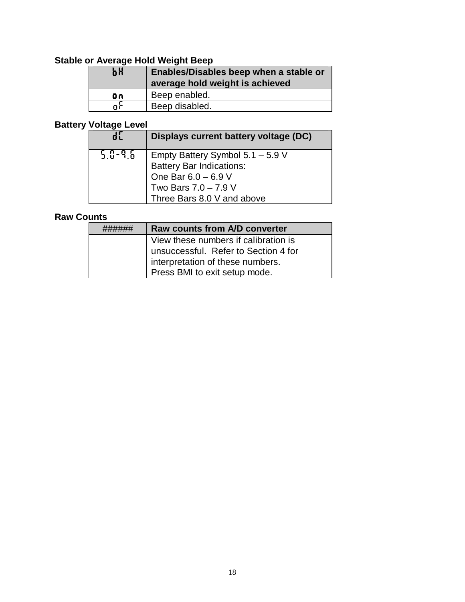## **Stable or Average Hold Weight Beep**

| ЬΧ | Enables/Disables beep when a stable or<br>average hold weight is achieved |
|----|---------------------------------------------------------------------------|
| Οn | Beep enabled.                                                             |
| n۴ | Beep disabled.                                                            |

## **Battery Voltage Level**

| dľ        | Displays current battery voltage (DC)                                       |
|-----------|-----------------------------------------------------------------------------|
| 5.0-9.6 . | Empty Battery Symbol 5.1 - 5.9 V                                            |
|           |                                                                             |
|           |                                                                             |
|           | Battery Bar Indications:<br>One Bar $6.0 - 6.9$ V<br>Two Bars $7.0 - 7.9$ V |
|           | Three Bars 8.0 V and above                                                  |

## **Raw Counts**

|                                                                                                                  | <b>Raw counts from A/D converter</b> |  |                               |
|------------------------------------------------------------------------------------------------------------------|--------------------------------------|--|-------------------------------|
| View these numbers if calibration is<br>unsuccessful. Refer to Section 4 for<br>interpretation of these numbers. |                                      |  |                               |
|                                                                                                                  |                                      |  | Press BMI to exit setup mode. |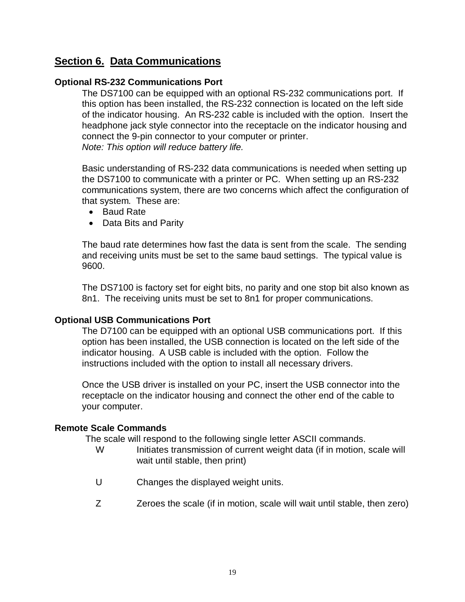## **Section 6. Data Communications**

#### **Optional RS-232 Communications Port**

The DS7100 can be equipped with an optional RS-232 communications port. If this option has been installed, the RS-232 connection is located on the left side of the indicator housing. An RS-232 cable is included with the option. Insert the headphone jack style connector into the receptacle on the indicator housing and connect the 9-pin connector to your computer or printer. *Note: This option will reduce battery life.*

Basic understanding of RS-232 data communications is needed when setting up the DS7100 to communicate with a printer or PC. When setting up an RS-232 communications system, there are two concerns which affect the configuration of that system. These are:

- Baud Rate
- Data Bits and Parity

The baud rate determines how fast the data is sent from the scale. The sending and receiving units must be set to the same baud settings. The typical value is 9600.

The DS7100 is factory set for eight bits, no parity and one stop bit also known as 8n1. The receiving units must be set to 8n1 for proper communications.

#### **Optional USB Communications Port**

The D7100 can be equipped with an optional USB communications port. If this option has been installed, the USB connection is located on the left side of the indicator housing. A USB cable is included with the option. Follow the instructions included with the option to install all necessary drivers.

Once the USB driver is installed on your PC, insert the USB connector into the receptacle on the indicator housing and connect the other end of the cable to your computer.

#### **Remote Scale Commands**

The scale will respond to the following single letter ASCII commands.

- W Initiates transmission of current weight data (if in motion, scale will wait until stable, then print)
- U Changes the displayed weight units.
- Z Zeroes the scale (if in motion, scale will wait until stable, then zero)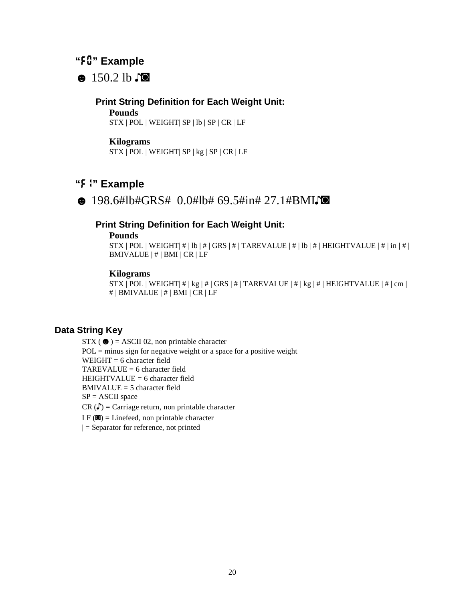## **"***F0***" Example**

 $\bullet$  150.2 lb  $\bullet$ 

#### **Print String Definition for Each Weight Unit:**

#### **Pounds**

STX | POL | WEIGHT| SP | lb | SP | CR | LF

#### **Kilograms**

STX | POL | WEIGHT| SP | kg | SP | CR | LF

## **"***F1***" Example**

 $\bullet$  198.6#lb#GRS# 0.0#lb# 69.5#in# 27.1#BMI $\square$ 

#### **Print String Definition for Each Weight Unit:**

#### **Pounds**

STX | POL | WEIGHT|  $\#$  | lb |  $\#$  | GRS |  $\#$  | TAREVALUE |  $\#$  | lb |  $\#$  | HEIGHTVALUE |  $\#$  | in |  $\#$  | BMIVALUE | # | BMI | CR | LF

#### **Kilograms**

STX | POL | WEIGHT |  $\#$  | kg |  $\#$  | GRS |  $\#$  | TAREVALUE |  $\#$  | kg |  $\#$  | HEIGHTVALUE |  $\#$  | cm | # | BMIVALUE | # | BMI | CR | LF

#### **Data String Key**

 $STX$  ( $\bullet$ ) = ASCII 02, non printable character  $POL = minus sign for negative weight or a space for a positive weight$ WEIGHT  $= 6$  character field  $TAREVALU E = 6$  character field HEIGHTVALUE = 6 character field  $BMIVALUE = 5$  character field  $SP = ASCII$  space  $CR(\text{C})$  = Carriage return, non printable character  $LF$  ( $\blacksquare$ ) = Linefeed, non printable character  $\vert$  = Separator for reference, not printed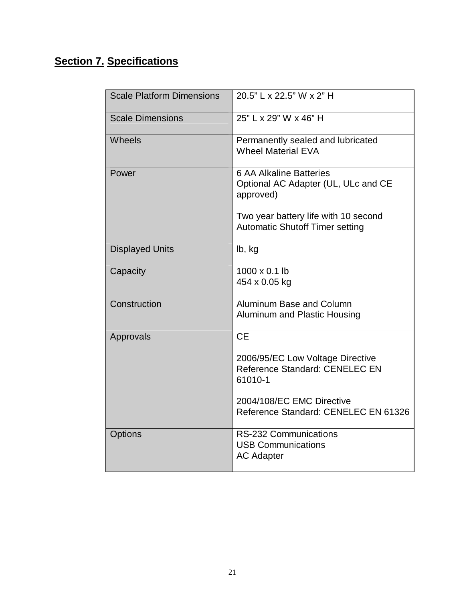# **Section 7. Specifications**

| <b>Scale Platform Dimensions</b> | 20.5" L x 22.5" W x 2" H                                                           |
|----------------------------------|------------------------------------------------------------------------------------|
| <b>Scale Dimensions</b>          | 25" L x 29" W x 46" H                                                              |
| Wheels                           | Permanently sealed and lubricated<br><b>Wheel Material EVA</b>                     |
| Power                            | <b>6 AA Alkaline Batteries</b><br>Optional AC Adapter (UL, ULc and CE<br>approved) |
|                                  | Two year battery life with 10 second<br><b>Automatic Shutoff Timer setting</b>     |
| <b>Displayed Units</b>           | lb, kg                                                                             |
| Capacity                         | 1000 x 0.1 lb<br>454 x 0.05 kg                                                     |
| Construction                     | Aluminum Base and Column<br><b>Aluminum and Plastic Housing</b>                    |
| Approvals                        | <b>CE</b>                                                                          |
|                                  | 2006/95/EC Low Voltage Directive<br>Reference Standard: CENELEC EN<br>61010-1      |
|                                  | 2004/108/EC EMC Directive<br>Reference Standard: CENELEC EN 61326                  |
| <b>Options</b>                   | RS-232 Communications<br><b>USB Communications</b><br><b>AC Adapter</b>            |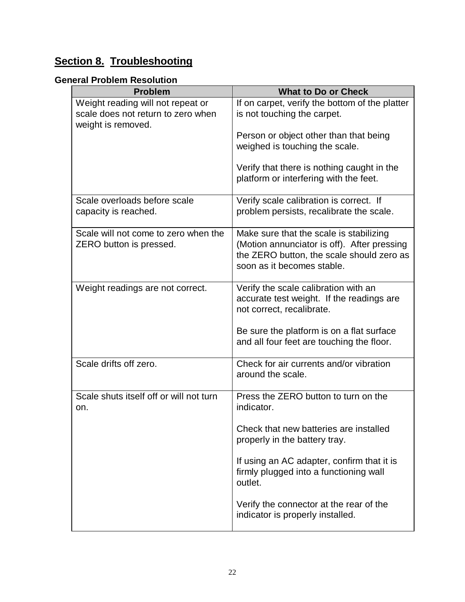## **Section 8. Troubleshooting**

## **General Problem Resolution**

| <b>Problem</b>                                                                                | <b>What to Do or Check</b>                                                                                                                                        |
|-----------------------------------------------------------------------------------------------|-------------------------------------------------------------------------------------------------------------------------------------------------------------------|
| Weight reading will not repeat or<br>scale does not return to zero when<br>weight is removed. | If on carpet, verify the bottom of the platter<br>is not touching the carpet.                                                                                     |
|                                                                                               | Person or object other than that being<br>weighed is touching the scale.                                                                                          |
|                                                                                               | Verify that there is nothing caught in the<br>platform or interfering with the feet.                                                                              |
| Scale overloads before scale<br>capacity is reached.                                          | Verify scale calibration is correct. If<br>problem persists, recalibrate the scale.                                                                               |
| Scale will not come to zero when the<br>ZERO button is pressed.                               | Make sure that the scale is stabilizing<br>(Motion annunciator is off). After pressing<br>the ZERO button, the scale should zero as<br>soon as it becomes stable. |
| Weight readings are not correct.                                                              | Verify the scale calibration with an<br>accurate test weight. If the readings are<br>not correct, recalibrate.                                                    |
|                                                                                               | Be sure the platform is on a flat surface<br>and all four feet are touching the floor.                                                                            |
| Scale drifts off zero.                                                                        | Check for air currents and/or vibration<br>around the scale.                                                                                                      |
| Scale shuts itself off or will not turn<br>on.                                                | Press the ZERO button to turn on the<br>indicator.                                                                                                                |
|                                                                                               | Check that new batteries are installed<br>properly in the battery tray.                                                                                           |
|                                                                                               | If using an AC adapter, confirm that it is<br>firmly plugged into a functioning wall<br>outlet.                                                                   |
|                                                                                               | Verify the connector at the rear of the<br>indicator is properly installed.                                                                                       |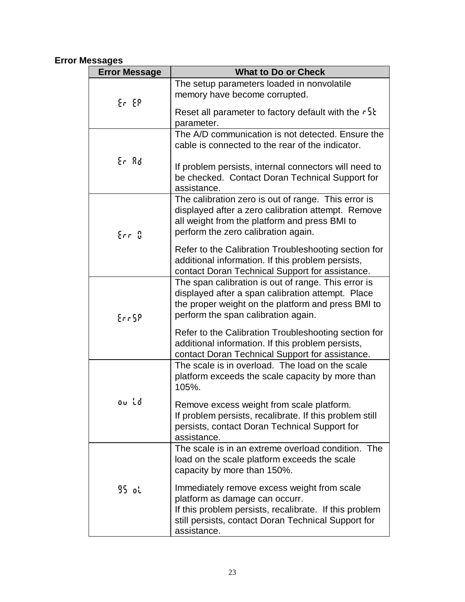## **Error Messages**

| <b>Error Message</b> | <b>What to Do or Check</b>                                                                                                                                                                                    |
|----------------------|---------------------------------------------------------------------------------------------------------------------------------------------------------------------------------------------------------------|
| Er EP                | The setup parameters loaded in nonvolatile<br>memory have become corrupted.                                                                                                                                   |
|                      | Reset all parameter to factory default with the $\tau$ <sup>5</sup> k<br>parameter.                                                                                                                           |
| Er Ad                | The A/D communication is not detected. Ensure the<br>cable is connected to the rear of the indicator.                                                                                                         |
|                      | If problem persists, internal connectors will need to<br>be checked. Contact Doran Technical Support for<br>assistance.                                                                                       |
| Err D                | The calibration zero is out of range. This error is<br>displayed after a zero calibration attempt. Remove<br>all weight from the platform and press BMI to<br>perform the zero calibration again.             |
|                      | Refer to the Calibration Troubleshooting section for<br>additional information. If this problem persists,<br>contact Doran Technical Support for assistance.                                                  |
| Err 58               | The span calibration is out of range. This error is<br>displayed after a span calibration attempt. Place<br>the proper weight on the platform and press BMI to<br>perform the span calibration again.         |
|                      | Refer to the Calibration Troubleshooting section for<br>additional information. If this problem persists,<br>contact Doran Technical Support for assistance.                                                  |
| ou ld                | The scale is in overload. The load on the scale<br>platform exceeds the scale capacity by more than<br>105%.                                                                                                  |
|                      | Remove excess weight from scale platform.<br>If problem persists, recalibrate. If this problem still<br>persists, contact Doran Technical Support for<br>assistance.                                          |
| 95 օկ                | The scale is in an extreme overload condition. The<br>load on the scale platform exceeds the scale<br>capacity by more than 150%.                                                                             |
|                      | Immediately remove excess weight from scale<br>platform as damage can occurr.<br>If this problem persists, recalibrate. If this problem<br>still persists, contact Doran Technical Support for<br>assistance. |